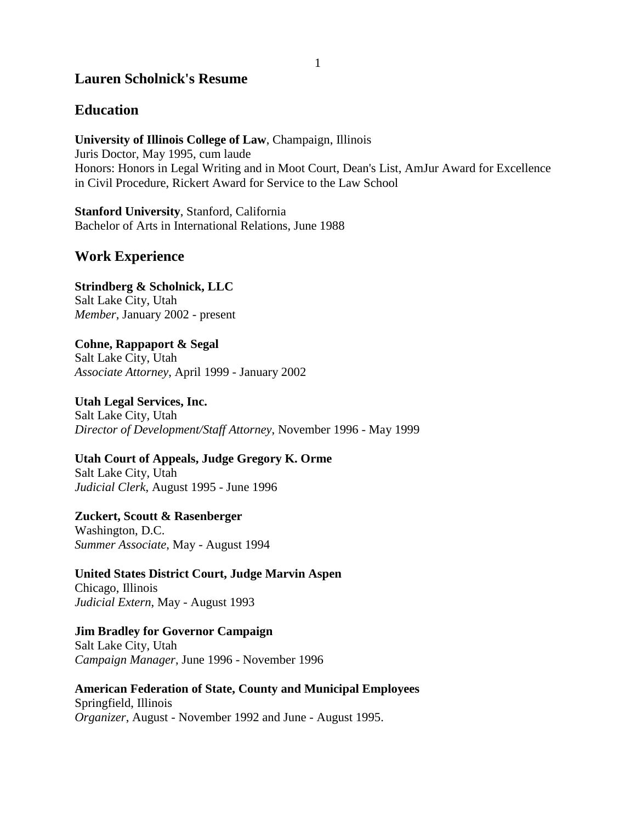# **Lauren Scholnick's Resume**

## **Education**

**University of Illinois College of Law**, Champaign, Illinois Juris Doctor, May 1995, cum laude Honors: Honors in Legal Writing and in Moot Court, Dean's List, AmJur Award for Excellence in Civil Procedure, Rickert Award for Service to the Law School

**Stanford University**, Stanford, California Bachelor of Arts in International Relations, June 1988

## **Work Experience**

**Strindberg & Scholnick, LLC** Salt Lake City, Utah *Member*, January 2002 - present

**Cohne, Rappaport & Segal** Salt Lake City, Utah *Associate Attorney*, April 1999 - January 2002

**Utah Legal Services, Inc.** Salt Lake City, Utah *Director of Development/Staff Attorney*, November 1996 - May 1999

**Utah Court of Appeals, Judge Gregory K. Orme** Salt Lake City, Utah *Judicial Clerk*, August 1995 - June 1996

**Zuckert, Scoutt & Rasenberger** Washington, D.C. *Summer Associate*, May - August 1994

**United States District Court, Judge Marvin Aspen** Chicago, Illinois *Judicial Extern*, May - August 1993

**Jim Bradley for Governor Campaign** Salt Lake City, Utah *Campaign Manager*, June 1996 - November 1996

**American Federation of State, County and Municipal Employees** Springfield, Illinois *Organizer*, August - November 1992 and June - August 1995.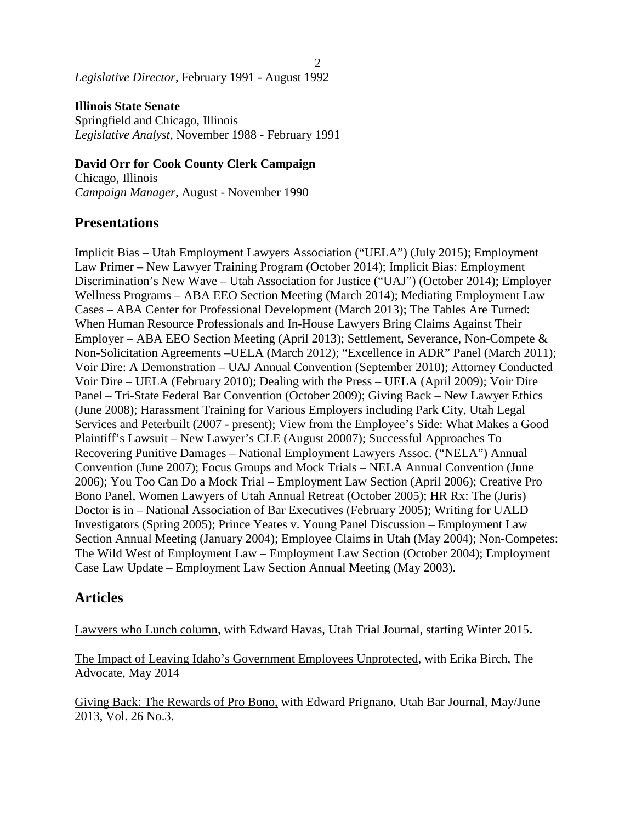#### *Legislative Director*, February 1991 - August 1992

**Illinois State Senate** Springfield and Chicago, Illinois *Legislative Analyst*, November 1988 - February 1991

#### **David Orr for Cook County Clerk Campaign**

Chicago, Illinois *Campaign Manager*, August - November 1990

### **Presentations**

Implicit Bias – Utah Employment Lawyers Association ("UELA") (July 2015); Employment Law Primer – New Lawyer Training Program (October 2014); Implicit Bias: Employment Discrimination's New Wave – Utah Association for Justice ("UAJ") (October 2014); Employer Wellness Programs – ABA EEO Section Meeting (March 2014); Mediating Employment Law Cases – ABA Center for Professional Development (March 2013); The Tables Are Turned: When Human Resource Professionals and In-House Lawyers Bring Claims Against Their Employer – ABA EEO Section Meeting (April 2013); Settlement, Severance, Non-Compete & Non-Solicitation Agreements –UELA (March 2012); "Excellence in ADR" Panel (March 2011); Voir Dire: A Demonstration – UAJ Annual Convention (September 2010); Attorney Conducted Voir Dire – UELA (February 2010); Dealing with the Press – UELA (April 2009); Voir Dire Panel – Tri-State Federal Bar Convention (October 2009); Giving Back – New Lawyer Ethics (June 2008); Harassment Training for Various Employers including Park City, Utah Legal Services and Peterbuilt (2007 - present); View from the Employee's Side: What Makes a Good Plaintiff's Lawsuit – New Lawyer's CLE (August 20007); Successful Approaches To Recovering Punitive Damages – National Employment Lawyers Assoc. ("NELA") Annual Convention (June 2007); Focus Groups and Mock Trials – NELA Annual Convention (June 2006); You Too Can Do a Mock Trial – Employment Law Section (April 2006); Creative Pro Bono Panel, Women Lawyers of Utah Annual Retreat (October 2005); HR Rx: The (Juris) Doctor is in – National Association of Bar Executives (February 2005); Writing for UALD Investigators (Spring 2005); Prince Yeates v. Young Panel Discussion – Employment Law Section Annual Meeting (January 2004); Employee Claims in Utah (May 2004); Non-Competes: The Wild West of Employment Law – Employment Law Section (October 2004); Employment Case Law Update – Employment Law Section Annual Meeting (May 2003).

 $\mathfrak{D}$ 

### **Articles**

Lawyers who Lunch column, with Edward Havas, Utah Trial Journal, starting Winter 2015.

The Impact of Leaving Idaho's Government Employees Unprotected, with Erika Birch, The Advocate, May 2014

Giving Back: The Rewards of Pro Bono, with Edward Prignano, Utah Bar Journal, May/June 2013, Vol. 26 No.3.